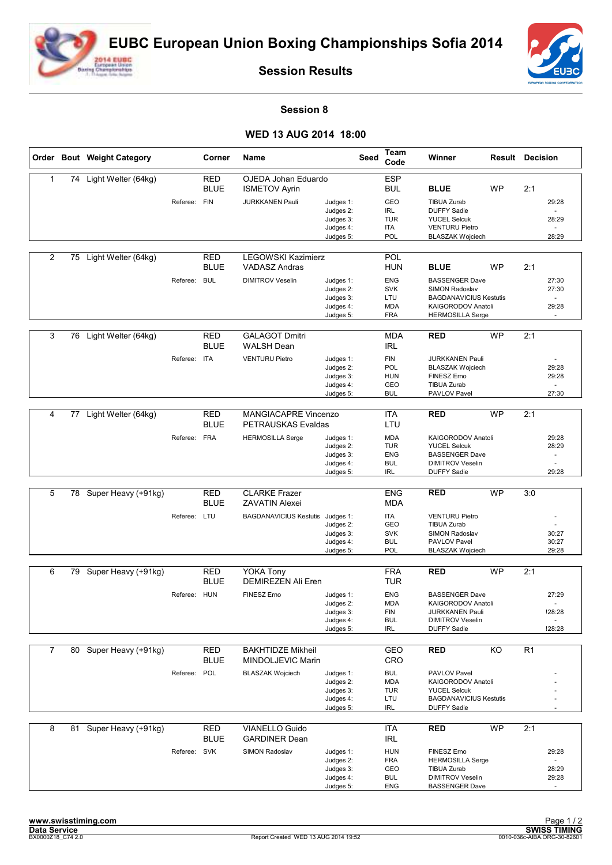



**Session Results**

## **Session 8**

## **WED 13 AUG 2014 18:00**

|                |    | Order Bout Weight Category |              | Corner                    | Name                                              |                        | Seed | Team<br>Code             | Winner                                              |           | <b>Result Decision</b> |                          |
|----------------|----|----------------------------|--------------|---------------------------|---------------------------------------------------|------------------------|------|--------------------------|-----------------------------------------------------|-----------|------------------------|--------------------------|
| 1              |    | 74 Light Welter (64kg)     |              | <b>RED</b>                | OJEDA Johan Eduardo                               |                        |      | <b>ESP</b>               |                                                     |           |                        |                          |
|                |    |                            |              | <b>BLUE</b>               | <b>ISMETOV Ayrin</b>                              |                        |      | <b>BUL</b>               | <b>BLUE</b>                                         | <b>WP</b> | 2:1                    |                          |
|                |    |                            | Referee:     | FIN                       | <b>JURKKANEN Pauli</b>                            | Judges 1:              |      | GEO                      | <b>TIBUA Zurab</b>                                  |           |                        | 29:28                    |
|                |    |                            |              |                           |                                                   | Judges 2:<br>Judges 3: |      | <b>IRL</b><br><b>TUR</b> | <b>DUFFY Sadie</b><br><b>YUCEL Selcuk</b>           |           |                        | 28:29                    |
|                |    |                            |              |                           |                                                   | Judges 4:              |      | <b>ITA</b>               | <b>VENTURU Pietro</b>                               |           |                        |                          |
|                |    |                            |              |                           |                                                   | Judges 5:              |      | POL                      | <b>BLASZAK Wojciech</b>                             |           |                        | 28:29                    |
|                |    |                            |              |                           |                                                   |                        |      |                          |                                                     |           |                        |                          |
| $\overline{c}$ | 75 | Light Welter (64kg)        |              | RED<br><b>BLUE</b>        | <b>LEGOWSKI Kazimierz</b><br><b>VADASZ Andras</b> |                        |      | <b>POL</b><br><b>HUN</b> | <b>BLUE</b>                                         | <b>WP</b> | 2:1                    |                          |
|                |    |                            | Referee:     | <b>BUL</b>                | <b>DIMITROV Veselin</b>                           | Judges 1:              |      | <b>ENG</b>               | <b>BASSENGER Dave</b>                               |           |                        | 27:30                    |
|                |    |                            |              |                           |                                                   | Judges 2:              |      | <b>SVK</b>               | SIMON Radoslav                                      |           |                        | 27:30                    |
|                |    |                            |              |                           |                                                   | Judges 3:              |      | LTU                      | <b>BAGDANAVICIUS Kestutis</b>                       |           |                        | $\overline{\phantom{a}}$ |
|                |    |                            |              |                           |                                                   | Judges 4:<br>Judges 5: |      | <b>MDA</b><br><b>FRA</b> | KAIGORODOV Anatoli<br><b>HERMOSILLA Serge</b>       |           |                        | 29:28                    |
|                |    |                            |              |                           |                                                   |                        |      |                          |                                                     |           |                        |                          |
| 3              | 76 | Light Welter (64kg)        |              | <b>RED</b>                | <b>GALAGOT Dmitri</b>                             |                        |      | <b>MDA</b>               | <b>RED</b>                                          | <b>WP</b> | 2:1                    |                          |
|                |    |                            |              | <b>BLUE</b>               | <b>WALSH Dean</b>                                 |                        |      | <b>IRL</b>               |                                                     |           |                        |                          |
|                |    |                            | Referee:     | <b>ITA</b>                | <b>VENTURU Pietro</b>                             | Judges 1:              |      | <b>FIN</b>               | <b>JURKKANEN Pauli</b>                              |           |                        |                          |
|                |    |                            |              |                           |                                                   | Judges 2:              |      | POL<br><b>HUN</b>        | <b>BLASZAK Wojciech</b><br>FINESZ Erno              |           |                        | 29:28                    |
|                |    |                            |              |                           |                                                   | Judges 3:<br>Judges 4: |      | GEO                      | <b>TIBUA Zurab</b>                                  |           |                        | 29:28                    |
|                |    |                            |              |                           |                                                   | Judges 5:              |      | <b>BUL</b>               | PAVLOV Pavel                                        |           |                        | 27:30                    |
|                |    |                            |              |                           |                                                   |                        |      |                          |                                                     |           |                        |                          |
| 4              | 77 | Light Welter (64kg)        |              | <b>RED</b><br><b>BLUE</b> | <b>MANGIACAPRE Vincenzo</b>                       |                        |      | <b>ITA</b><br>LTU        | <b>RED</b>                                          | <b>WP</b> | 2:1                    |                          |
|                |    |                            |              |                           | PETRAUSKAS Evaldas                                |                        |      |                          |                                                     |           |                        |                          |
|                |    |                            | Referee:     | <b>FRA</b>                | <b>HERMOSILLA Serge</b>                           | Judges 1:<br>Judges 2: |      | <b>MDA</b><br><b>TUR</b> | KAIGORODOV Anatoli<br><b>YUCEL Selcuk</b>           |           |                        | 29:28<br>28:29           |
|                |    |                            |              |                           |                                                   | Judges 3:              |      | <b>ENG</b>               | <b>BASSENGER Dave</b>                               |           |                        | $\sim$                   |
|                |    |                            |              |                           |                                                   | Judges 4:              |      | <b>BUL</b>               | <b>DIMITROV Veselin</b>                             |           |                        |                          |
|                |    |                            |              |                           |                                                   | Judges 5:              |      | <b>IRL</b>               | <b>DUFFY Sadie</b>                                  |           |                        | 29:28                    |
| 5              |    | 78 Super Heavy (+91kg)     |              | <b>RED</b>                | <b>CLARKE Frazer</b>                              |                        |      | <b>ENG</b>               | <b>RED</b>                                          | <b>WP</b> | 3:0                    |                          |
|                |    |                            |              | <b>BLUE</b>               | <b>ZAVATIN Alexei</b>                             |                        |      | <b>MDA</b>               |                                                     |           |                        |                          |
|                |    |                            | Referee:     | LTU                       | <b>BAGDANAVICIUS Kestutis</b>                     | Judges 1:              |      | <b>ITA</b>               | <b>VENTURU Pietro</b>                               |           |                        |                          |
|                |    |                            |              |                           |                                                   | Judges 2:              |      | GEO                      | <b>TIBUA Zurab</b>                                  |           |                        |                          |
|                |    |                            |              |                           |                                                   | Judges 3:<br>Judges 4: |      | <b>SVK</b><br><b>BUL</b> | SIMON Radoslav<br>PAVLOV Pavel                      |           |                        | 30:27<br>30:27           |
|                |    |                            |              |                           |                                                   | Judges 5:              |      | POL                      | <b>BLASZAK Wojciech</b>                             |           |                        | 29:28                    |
|                |    |                            |              |                           |                                                   |                        |      |                          |                                                     |           |                        |                          |
| 6              | 79 | Super Heavy (+91kg)        |              | RED                       | <b>YOKA Tony</b>                                  |                        |      | <b>FRA</b>               | <b>RED</b>                                          | <b>WP</b> | 2:1                    |                          |
|                |    |                            |              | <b>BLUE</b>               | <b>DEMIREZEN Ali Eren</b>                         |                        |      | <b>TUR</b>               |                                                     |           |                        |                          |
|                |    |                            | Referee:     | <b>HUN</b>                | <b>FINESZ Erno</b>                                | Judges 1:              |      | <b>ENG</b><br><b>MDA</b> | <b>BASSENGER Dave</b><br>KAIGORODOV Anatoli         |           |                        | 27:29                    |
|                |    |                            |              |                           |                                                   | Judges 2:<br>Judges 3: |      | FIN                      | <b>JURKKANEN Pauli</b>                              |           |                        | !28:28                   |
|                |    |                            |              |                           |                                                   | Judges 4:              |      | <b>BUL</b>               | <b>DIMITROV Veselin</b>                             |           |                        |                          |
|                |    |                            |              |                           |                                                   | Judges 5:              |      | <b>IRL</b>               | <b>DUFFY Sadie</b>                                  |           |                        | !28:28                   |
| $\overline{7}$ |    | 80 Super Heavy (+91kg)     |              | <b>RED</b>                | <b>BAKHTIDZE Mikheil</b>                          |                        |      | <b>GEO</b>               | <b>RED</b>                                          | KO        | R <sub>1</sub>         |                          |
|                |    |                            |              | <b>BLUE</b>               | MINDOLJEVIC Marin                                 |                        |      | CRO                      |                                                     |           |                        |                          |
|                |    |                            | Referee: POL |                           | <b>BLASZAK Wojciech</b>                           | Judges 1:              |      | <b>BUL</b>               | PAVLOV Pavel                                        |           |                        |                          |
|                |    |                            |              |                           |                                                   | Judges 2:              |      | <b>MDA</b>               | KAIGORODOV Anatoli                                  |           |                        |                          |
|                |    |                            |              |                           |                                                   | Judges 3:              |      | <b>TUR</b>               | <b>YUCEL Selcuk</b>                                 |           |                        |                          |
|                |    |                            |              |                           |                                                   | Judges 4:<br>Judges 5: |      | LTU<br>IRL               | <b>BAGDANAVICIUS Kestutis</b><br><b>DUFFY Sadie</b> |           |                        |                          |
|                |    |                            |              |                           |                                                   |                        |      |                          |                                                     |           |                        |                          |
| 8              | 81 | Super Heavy (+91kg)        |              | <b>RED</b>                | <b>VIANELLO Guido</b>                             |                        |      | ITA                      | <b>RED</b>                                          | <b>WP</b> | 2:1                    |                          |
|                |    |                            |              | <b>BLUE</b>               | <b>GARDINER Dean</b>                              |                        |      | <b>IRL</b>               |                                                     |           |                        |                          |
|                |    |                            | Referee: SVK |                           | SIMON Radoslav                                    | Judges 1:              |      | <b>HUN</b>               | FINESZ Erno                                         |           |                        | 29:28                    |
|                |    |                            |              |                           |                                                   | Judges 2:              |      | <b>FRA</b>               | <b>HERMOSILLA Serge</b>                             |           |                        |                          |
|                |    |                            |              |                           |                                                   | Judges 3:<br>Judges 4: |      | GEO<br><b>BUL</b>        | TIBUA Zurab<br><b>DIMITROV Veselin</b>              |           |                        | 28:29<br>29:28           |
|                |    |                            |              |                           |                                                   | Judges 5:              |      | ENG                      | <b>BASSENGER Dave</b>                               |           |                        |                          |